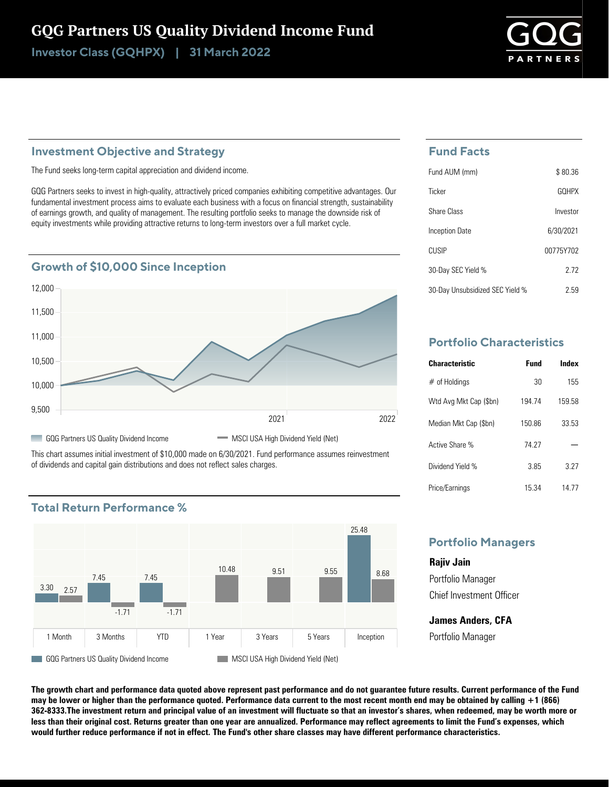# GQG Partners US Quality Dividend Income Fund

Investor Class (GQHPX) | 31 March 2022

# **Investment Objective and Strategy**

The Fund seeks long-term capital appreciation and dividend income.

GQG Partners seeks to invest in high-quality, attractively priced companies exhibiting competitive advantages. Our fundamental investment process aims to evaluate each business with a focus on financial strength, sustainability of earnings growth, and quality of management. The resulting portfolio seeks to manage the downside risk of equity investments while providing attractive returns to long-term investors over a full market cycle.



This chart assumes initial investment of \$10,000 made on 6/30/2021. Fund performance assumes reinvestment of dividends and capital gain distributions and does not reflect sales charges.



# **Total Return Performance %**

## **Fund Facts**

| Fund AUM (mm)                   | \$80.36      |
|---------------------------------|--------------|
| Ticker                          | <b>GOHPX</b> |
| Share Class                     | Investor     |
| Inception Date                  | 6/30/2021    |
| CUSIP                           | 00775Y702    |
| 30-Day SEC Yield %              | 2 72         |
| 30-Day Unsubsidized SEC Yield % | 2.59         |

# **Portfolio Characteristics**

| <b>Characteristic</b>  | Fund   | Index  |
|------------------------|--------|--------|
| $#$ of Holdings        | 30     | 155    |
| Wtd Avg Mkt Cap (\$bn) | 194 74 | 159 58 |
| Median Mkt Cap (\$bn)  | 15086  | 33.53  |
| Active Share %         | 74 27  |        |
| Dividend Yield %       | 385    | 3 27   |
| Price/Earnings         | 15.34  | 14 77  |

# **Portfolio Managers**

**Rajiv Jain** Portfolio Manager Chief Investment Officer

**James Anders, CFA** Portfolio Manager

**The growth chart and performance data quoted above represent past performance and do not guarantee future results. Current performance of the Fund may be lower or higher than the performance quoted. Performance data current to the most recent month end may be obtained by calling +1 (866) 362-8333.The investment return and principal value of an investment will fluctuate so that an investor's shares, when redeemed, may be worth more or less than their original cost. Returns greater than one year are annualized. Performance may reflect agreements to limit the Fund's expenses, which would further reduce performance if not in effect. The Fund's other share classes may have different performance characteristics.**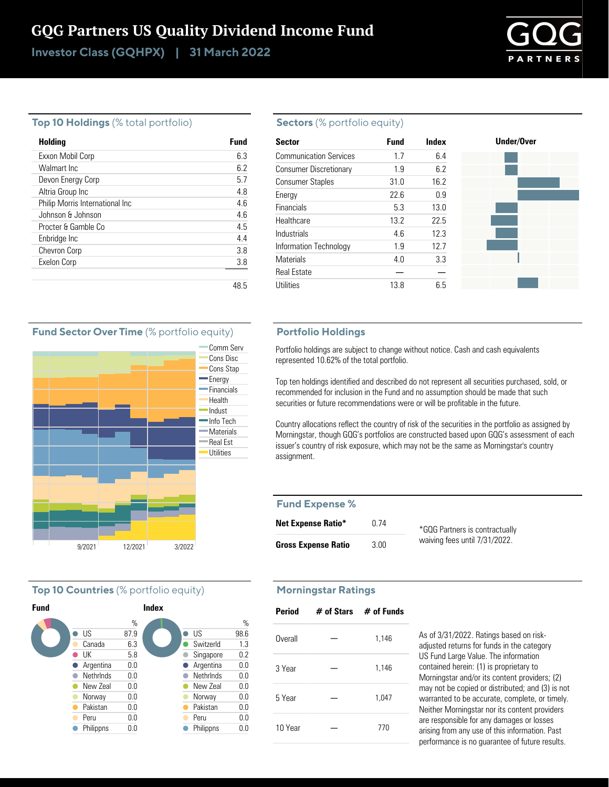# GQG Partners US Quality Dividend Income Fund

Investor Class (GQHPX) | 31 March 2022



#### **Top 10 Holdings** (% total portfolio)

| Holding                         | Fund |
|---------------------------------|------|
| Exxon Mobil Corp                | 63   |
| Walmart Inc.                    | 62   |
| Devon Energy Corp               | 5.7  |
| Altria Group Inc                | 4.8  |
| Philip Morris International Inc | 4.6  |
| Johnson & Johnson               | 4.6  |
| Procter & Gamble Co             | 4.5  |
| Enbridge Inc                    | 44   |
| <b>Chevron Corp</b>             | 38   |
| Exelon Corp                     | 3.8  |
|                                 |      |
|                                 | 48.5 |

#### **Sectors** (% portfolio equity)

| <b>Sector</b>                 | <b>Fund</b> | Index | Under/Over |
|-------------------------------|-------------|-------|------------|
| <b>Communication Services</b> | 1.7         | 6.4   |            |
| <b>Consumer Discretionary</b> | 1.9         | 6.2   |            |
| <b>Consumer Staples</b>       | 31.0        | 16.2  |            |
| Energy                        | 22.6        | 0.9   |            |
| Financials                    | 5.3         | 13.0  |            |
| Healthcare                    | 13.2        | 22.5  |            |
| Industrials                   | 4.6         | 12.3  |            |
| Information Technology        | 1.9         | 12.7  |            |
| <b>Materials</b>              | 4.0         | 3.3   |            |
| <b>Real Estate</b>            |             |       |            |
| <b>Utilities</b>              | 13.8        | 6.5   |            |

#### **Portfolio Holdings**

Portfolio holdings are subject to change without notice. Cash and cash equivalents represented 10.62% of the total portfolio.

Top ten holdings identified and described do not represent all securities purchased, sold, or recommended for inclusion in the Fund and no assumption should be made that such securities or future recommendations were or will be profitable in the future.

Country allocations reflect the country of risk of the securities in the portfolio as assigned by Morningstar, though GQG's portfolios are constructed based upon GQG's assessment of each issuer's country of risk exposure, which may not be the same as Morningstar's country assignment.

### **Fund Expense %**

| <b>Net Expense Ratio*</b>  | 0 74 | *GQG Partners is contractua  |
|----------------------------|------|------------------------------|
| <b>Gross Expense Ratio</b> | 3.00 | waiving fees until 7/31/202. |

#### ally waiving fees until 7/31/2022.

### **Morningstar Ratings**

| <b>Period</b> | $#$ of Stars $#$ of Funds |
|---------------|---------------------------|
| Overall       | 1,146                     |
| 3 Year        | 1,146                     |
| 5 Year        | 1,047                     |
| 10 Year       | 770                       |

As of 3/31/2022. Ratings based on riskadjusted returns for funds in the category US Fund Large Value. The information contained herein: (1) is proprietary to Morningstar and/or its content providers; (2) may not be copied or distributed; and (3) is not warranted to be accurate, complete, or timely. Neither Morningstar nor its content providers are responsible for any damages or losses arising from any use of this information. Past performance is no guarantee of future results.

#### **Fund Sector Over Time** (% portfolio equity)



### **Top 10 Countries** (% portfolio equity)